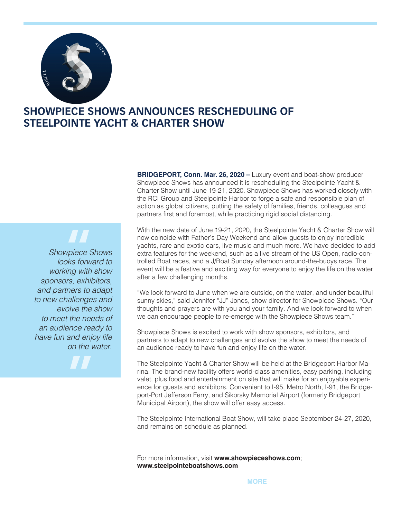

## **SHOWPIECE SHOWS ANNOUNCES RESCHEDULING OF STEELPOINTE YACHT & CHARTER SHOW**

**BRIDGEPORT, Conn. Mar. 26, 2020 – Luxury event and boat-show producer** Showpiece Shows has announced it is rescheduling the Steelpointe Yacht & Charter Show until June 19-21, 2020. Showpiece Shows has worked closely with the RCI Group and Steelpointe Harbor to forge a safe and responsible plan of action as global citizens, putting the safety of families, friends, colleagues and partners first and foremost, while practicing rigid social distancing.

*Showpiece Shows looks forward to working with show sponsors, exhibitors, and partners to adapt to new challenges and evolve the show to meet the needs of an audience ready to have fun and enjoy life on the water.* **"**

**"**

With the new date of June 19-21, 2020, the Steelpointe Yacht & Charter Show will now coincide with Father's Day Weekend and allow guests to enjoy incredible yachts, rare and exotic cars, live music and much more. We have decided to add extra features for the weekend, such as a live stream of the US Open, radio-controlled Boat races, and a J/Boat Sunday afternoon around-the-buoys race. The event will be a festive and exciting way for everyone to enjoy the life on the water after a few challenging months.

"We look forward to June when we are outside, on the water, and under beautiful sunny skies," said Jennifer "JJ" Jones, show director for Showpiece Shows. "Our thoughts and prayers are with you and your family. And we look forward to when we can encourage people to re-emerge with the Showpiece Shows team."

Showpiece Shows is excited to work with show sponsors, exhibitors, and partners to adapt to new challenges and evolve the show to meet the needs of an audience ready to have fun and enjoy life on the water.

The Steelpointe Yacht & Charter Show will be held at the Bridgeport Harbor Marina. The brand-new facility offers world-class amenities, easy parking, including valet, plus food and entertainment on site that will make for an enjoyable experience for guests and exhibitors. Convenient to I-95, Metro North, I-91, the Bridgeport-Port Jefferson Ferry, and Sikorsky Memorial Airport (formerly Bridgeport Municipal Airport), the show will offer easy access.

The Steelpointe International Boat Show, will take place September 24-27, 2020, and remains on schedule as planned.

For more information, visit **www.showpieceshows.com**; **www.steelpointeboatshows.com**